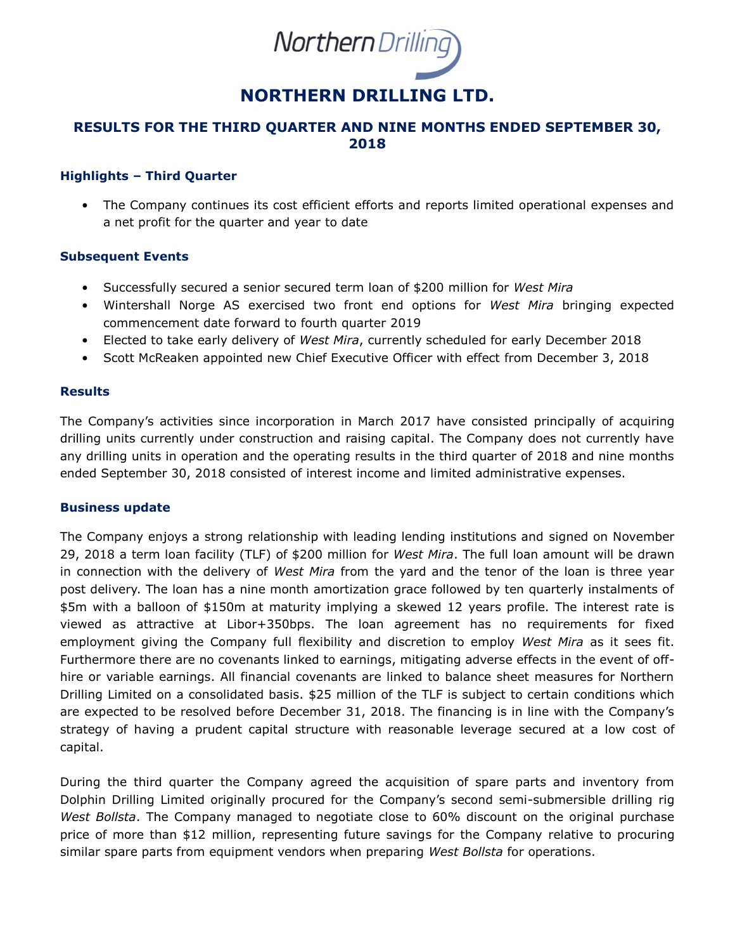

# **NORTHERN DRILLING LTD.**

## **RESULTS FOR THE THIRD QUARTER AND NINE MONTHS ENDED SEPTEMBER 30, 2018**

## **Highlights – Third Quarter**

• The Company continues its cost efficient efforts and reports limited operational expenses and a net profit for the quarter and year to date

## **Subsequent Events**

- Successfully secured a senior secured term loan of \$200 million for *West Mira*
- Wintershall Norge AS exercised two front end options for *West Mira* bringing expected commencement date forward to fourth quarter 2019
- Elected to take early delivery of *West Mira*, currently scheduled for early December 2018
- Scott McReaken appointed new Chief Executive Officer with effect from December 3, 2018

#### **Results**

The Company's activities since incorporation in March 2017 have consisted principally of acquiring drilling units currently under construction and raising capital. The Company does not currently have any drilling units in operation and the operating results in the third quarter of 2018 and nine months ended September 30, 2018 consisted of interest income and limited administrative expenses.

## **Business update**

The Company enjoys a strong relationship with leading lending institutions and signed on November 29, 2018 a term loan facility (TLF) of \$200 million for *West Mira*. The full loan amount will be drawn in connection with the delivery of *West Mira* from the yard and the tenor of the loan is three year post delivery. The loan has a nine month amortization grace followed by ten quarterly instalments of \$5m with a balloon of \$150m at maturity implying a skewed 12 years profile. The interest rate is viewed as attractive at Libor+350bps. The loan agreement has no requirements for fixed employment giving the Company full flexibility and discretion to employ *West Mira* as it sees fit. Furthermore there are no covenants linked to earnings, mitigating adverse effects in the event of offhire or variable earnings. All financial covenants are linked to balance sheet measures for Northern Drilling Limited on a consolidated basis. \$25 million of the TLF is subject to certain conditions which are expected to be resolved before December 31, 2018. The financing is in line with the Company's strategy of having a prudent capital structure with reasonable leverage secured at a low cost of capital.

During the third quarter the Company agreed the acquisition of spare parts and inventory from Dolphin Drilling Limited originally procured for the Company's second semi-submersible drilling rig *West Bollsta*. The Company managed to negotiate close to 60% discount on the original purchase price of more than \$12 million, representing future savings for the Company relative to procuring similar spare parts from equipment vendors when preparing *West Bollsta* for operations.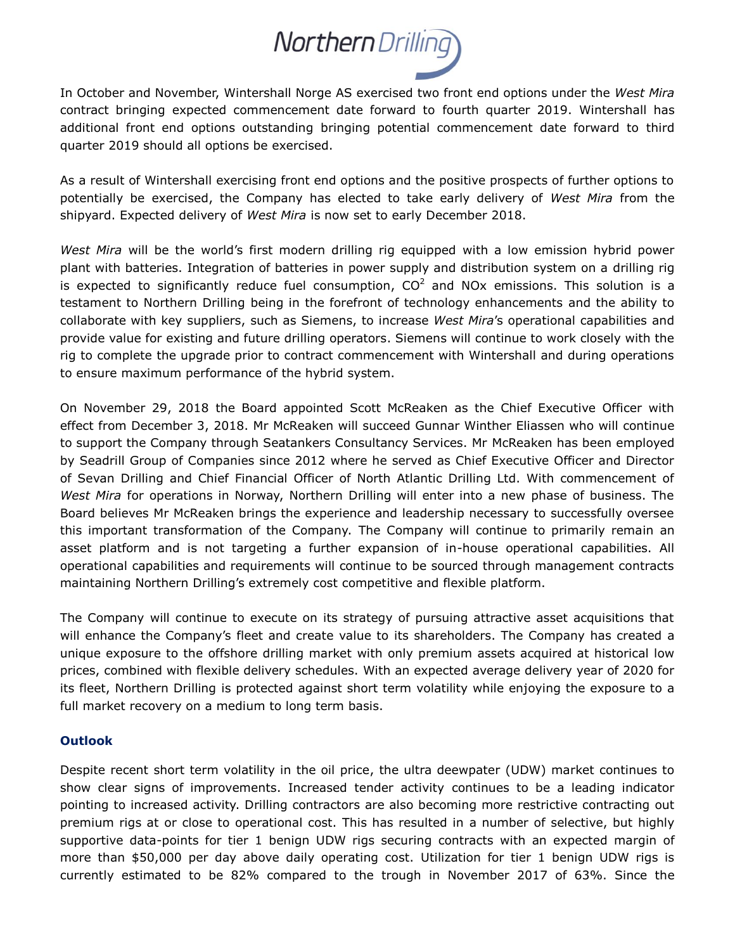

In October and November, Wintershall Norge AS exercised two front end options under the *West Mira* contract bringing expected commencement date forward to fourth quarter 2019. Wintershall has additional front end options outstanding bringing potential commencement date forward to third quarter 2019 should all options be exercised.

As a result of Wintershall exercising front end options and the positive prospects of further options to potentially be exercised, the Company has elected to take early delivery of *West Mira* from the shipyard. Expected delivery of *West Mira* is now set to early December 2018.

*West Mira* will be the world's first modern drilling rig equipped with a low emission hybrid power plant with batteries. Integration of batteries in power supply and distribution system on a drilling rig is expected to significantly reduce fuel consumption,  $CO^2$  and NOx emissions. This solution is a testament to Northern Drilling being in the forefront of technology enhancements and the ability to collaborate with key suppliers, such as Siemens, to increase *West Mira*'s operational capabilities and provide value for existing and future drilling operators. Siemens will continue to work closely with the rig to complete the upgrade prior to contract commencement with Wintershall and during operations to ensure maximum performance of the hybrid system.

On November 29, 2018 the Board appointed Scott McReaken as the Chief Executive Officer with effect from December 3, 2018. Mr McReaken will succeed Gunnar Winther Eliassen who will continue to support the Company through Seatankers Consultancy Services. Mr McReaken has been employed by Seadrill Group of Companies since 2012 where he served as Chief Executive Officer and Director of Sevan Drilling and Chief Financial Officer of North Atlantic Drilling Ltd. With commencement of *West Mira* for operations in Norway, Northern Drilling will enter into a new phase of business. The Board believes Mr McReaken brings the experience and leadership necessary to successfully oversee this important transformation of the Company. The Company will continue to primarily remain an asset platform and is not targeting a further expansion of in-house operational capabilities. All operational capabilities and requirements will continue to be sourced through management contracts maintaining Northern Drilling's extremely cost competitive and flexible platform.

The Company will continue to execute on its strategy of pursuing attractive asset acquisitions that will enhance the Company's fleet and create value to its shareholders. The Company has created a unique exposure to the offshore drilling market with only premium assets acquired at historical low prices, combined with flexible delivery schedules. With an expected average delivery year of 2020 for its fleet, Northern Drilling is protected against short term volatility while enjoying the exposure to a full market recovery on a medium to long term basis.

## **Outlook**

Despite recent short term volatility in the oil price, the ultra deewpater (UDW) market continues to show clear signs of improvements. Increased tender activity continues to be a leading indicator pointing to increased activity. Drilling contractors are also becoming more restrictive contracting out premium rigs at or close to operational cost. This has resulted in a number of selective, but highly supportive data-points for tier 1 benign UDW rigs securing contracts with an expected margin of more than \$50,000 per day above daily operating cost. Utilization for tier 1 benign UDW rigs is currently estimated to be 82% compared to the trough in November 2017 of 63%. Since the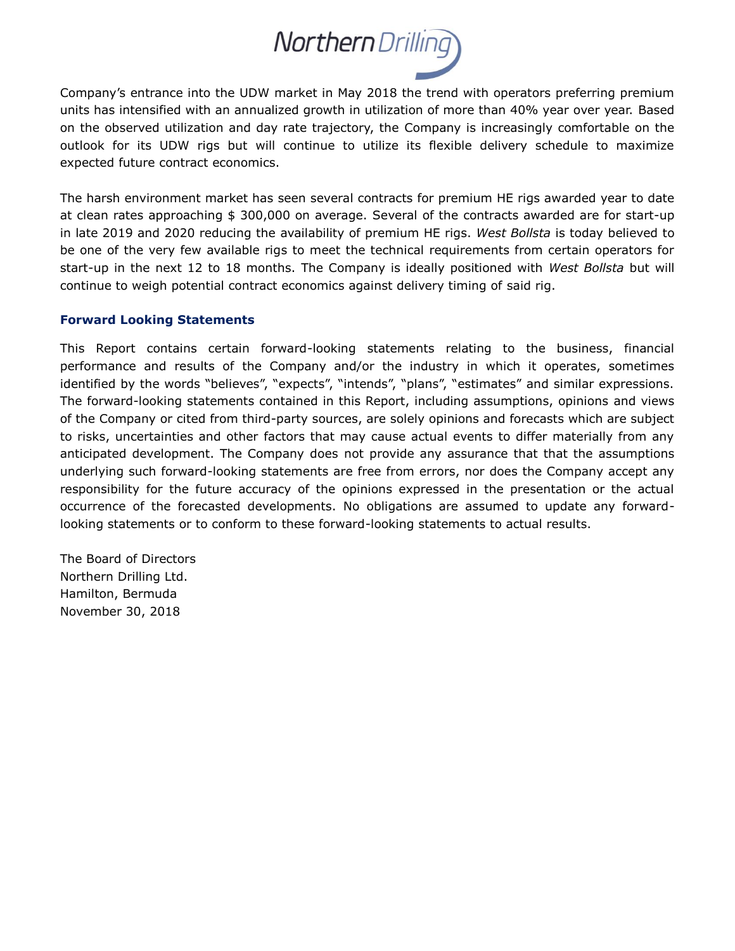

Company's entrance into the UDW market in May 2018 the trend with operators preferring premium units has intensified with an annualized growth in utilization of more than 40% year over year. Based on the observed utilization and day rate trajectory, the Company is increasingly comfortable on the outlook for its UDW rigs but will continue to utilize its flexible delivery schedule to maximize expected future contract economics.

The harsh environment market has seen several contracts for premium HE rigs awarded year to date at clean rates approaching \$ 300,000 on average. Several of the contracts awarded are for start-up in late 2019 and 2020 reducing the availability of premium HE rigs. *West Bollsta* is today believed to be one of the very few available rigs to meet the technical requirements from certain operators for start-up in the next 12 to 18 months. The Company is ideally positioned with *West Bollsta* but will continue to weigh potential contract economics against delivery timing of said rig.

## **Forward Looking Statements**

This Report contains certain forward-looking statements relating to the business, financial performance and results of the Company and/or the industry in which it operates, sometimes identified by the words "believes", "expects", "intends", "plans", "estimates" and similar expressions. The forward-looking statements contained in this Report, including assumptions, opinions and views of the Company or cited from third-party sources, are solely opinions and forecasts which are subject to risks, uncertainties and other factors that may cause actual events to differ materially from any anticipated development. The Company does not provide any assurance that that the assumptions underlying such forward-looking statements are free from errors, nor does the Company accept any responsibility for the future accuracy of the opinions expressed in the presentation or the actual occurrence of the forecasted developments. No obligations are assumed to update any forwardlooking statements or to conform to these forward-looking statements to actual results.

The Board of Directors Northern Drilling Ltd. Hamilton, Bermuda November 30, 2018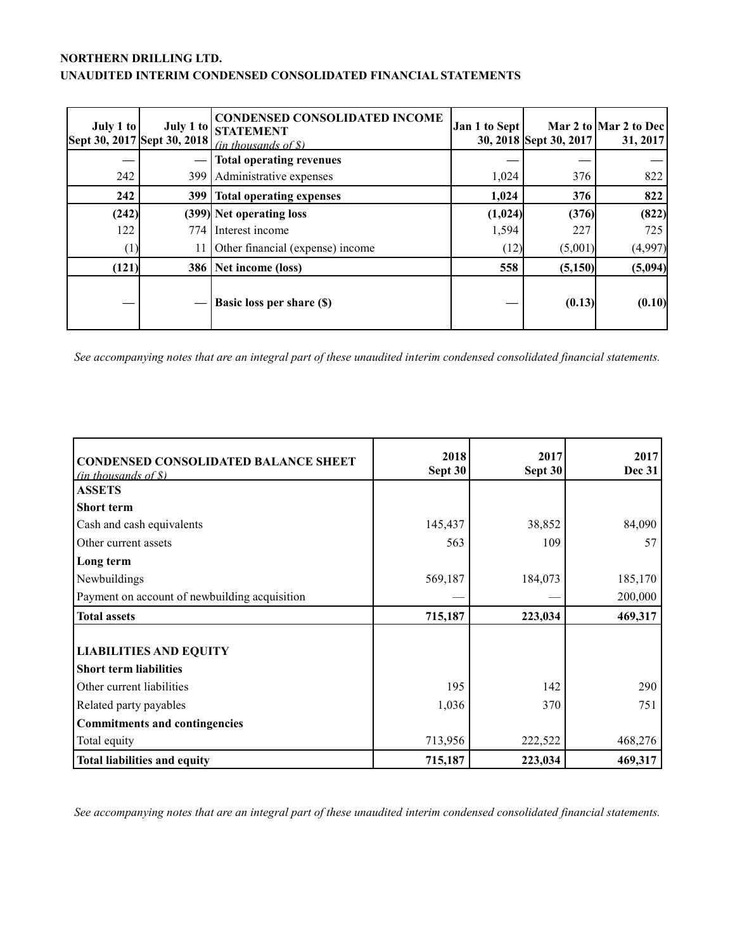## **NORTHERN DRILLING LTD. UNAUDITED INTERIM CONDENSED CONSOLIDATED FINANCIAL STATEMENTS**

| July 1 to<br>Sept 30, 2017 Sept 30, 2018 | July 1 to | <b>CONDENSED CONSOLIDATED INCOME</b><br><b>STATEMENT</b><br>(in thousands of \$) | Jan 1 to Sept | 30, 2018 Sept 30, 2017 | Mar 2 to Mar 2 to Dec<br>31, 2017 |
|------------------------------------------|-----------|----------------------------------------------------------------------------------|---------------|------------------------|-----------------------------------|
|                                          |           | <b>Total operating revenues</b>                                                  |               |                        |                                   |
| 242                                      | 399 l     | Administrative expenses                                                          | 1,024         | 376                    | 822                               |
| 242                                      | 399       | <b>Total operating expenses</b>                                                  | 1,024         | 376                    | 822                               |
| (242)                                    |           | (399) Net operating loss                                                         | (1,024)       | (376)                  | (822)                             |
| 122                                      |           | 774 I Interest income                                                            | 1,594         | 227                    | 725                               |
| $\left(1\right)$                         |           | Other financial (expense) income                                                 | (12)          | (5,001)                | (4,997)                           |
| (121)                                    |           | 386 Net income (loss)                                                            | 558           | (5,150)                | (5,094)                           |
|                                          |           | <b>Basic loss per share (\$)</b>                                                 |               | (0.13)                 | (0.10)                            |

*See accompanying notes that are an integral part of these unaudited interim condensed consolidated financial statements.*

| <b>CONDENSED CONSOLIDATED BALANCE SHEET</b><br>(in thousands of \$) | 2018<br>Sept 30 | 2017<br>Sept 30 | 2017<br>Dec 31 |
|---------------------------------------------------------------------|-----------------|-----------------|----------------|
| <b>ASSETS</b>                                                       |                 |                 |                |
| <b>Short term</b>                                                   |                 |                 |                |
| Cash and cash equivalents                                           | 145,437         | 38,852          | 84,090         |
| Other current assets                                                | 563             | 109             | 57             |
| Long term                                                           |                 |                 |                |
| Newbuildings                                                        | 569,187         | 184,073         | 185,170        |
| Payment on account of newbuilding acquisition                       |                 |                 | 200,000        |
| <b>Total assets</b>                                                 | 715,187         | 223,034         | 469,317        |
|                                                                     |                 |                 |                |
| <b>LIABILITIES AND EQUITY</b>                                       |                 |                 |                |
| <b>Short term liabilities</b>                                       |                 |                 |                |
| Other current liabilities                                           | 195             | 142             | 290            |
| Related party payables                                              | 1,036           | 370             | 751            |
| <b>Commitments and contingencies</b>                                |                 |                 |                |
| Total equity                                                        | 713,956         | 222,522         | 468,276        |
| <b>Total liabilities and equity</b>                                 | 715,187         | 223,034         | 469,317        |

*See accompanying notes that are an integral part of these unaudited interim condensed consolidated financial statements.*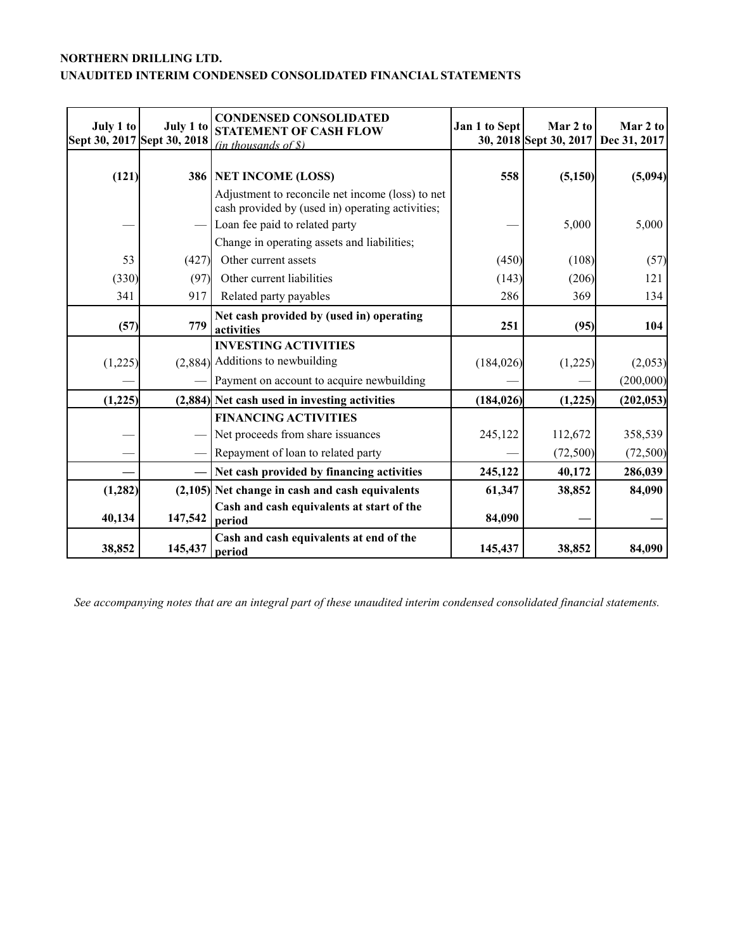## **NORTHERN DRILLING LTD. UNAUDITED INTERIM CONDENSED CONSOLIDATED FINANCIAL STATEMENTS**

| July 1 to | July 1 to<br>Sept 30, 2017 Sept 30, 2018 | <b>CONDENSED CONSOLIDATED</b><br><b>STATEMENT OF CASH FLOW</b><br>(in thousands of \$)               | Jan 1 to Sept | Mar 2 to<br>30, 2018 Sept 30, 2017 | Mar 2 to<br>Dec 31, 2017 |
|-----------|------------------------------------------|------------------------------------------------------------------------------------------------------|---------------|------------------------------------|--------------------------|
| (121)     |                                          | 386 NET INCOME (LOSS)                                                                                | 558           | (5, 150)                           | (5,094)                  |
|           |                                          | Adjustment to reconcile net income (loss) to net<br>cash provided by (used in) operating activities; |               |                                    |                          |
|           |                                          | Loan fee paid to related party                                                                       |               | 5,000                              | 5,000                    |
|           |                                          | Change in operating assets and liabilities;                                                          |               |                                    |                          |
| 53        | (427)                                    | Other current assets                                                                                 | (450)         | (108)                              | (57)                     |
| (330)     | (97)                                     | Other current liabilities                                                                            | (143)         | (206)                              | 121                      |
| 341       | 917                                      | Related party payables                                                                               | 286           | 369                                | 134                      |
| (57)      | 779                                      | Net cash provided by (used in) operating<br>activities                                               | 251           | (95)                               | 104                      |
|           |                                          | <b>INVESTING ACTIVITIES</b>                                                                          |               |                                    |                          |
| (1,225)   |                                          | $(2,884)$ Additions to newbuilding                                                                   | (184, 026)    | (1,225)                            | (2,053)                  |
|           |                                          | Payment on account to acquire newbuilding                                                            |               |                                    | (200,000)                |
| (1,225)   |                                          | (2,884) Net cash used in investing activities                                                        | (184, 026)    | (1,225)                            | (202, 053)               |
|           |                                          | <b>FINANCING ACTIVITIES</b>                                                                          |               |                                    |                          |
|           |                                          | Net proceeds from share issuances                                                                    | 245,122       | 112,672                            | 358,539                  |
|           |                                          | Repayment of loan to related party                                                                   |               | (72,500)                           | (72, 500)                |
|           |                                          | Net cash provided by financing activities                                                            | 245,122       | 40,172                             | 286,039                  |
| (1, 282)  |                                          | (2,105) Net change in cash and cash equivalents                                                      | 61,347        | 38,852                             | 84,090                   |
| 40,134    | 147,542                                  | Cash and cash equivalents at start of the<br>period                                                  | 84,090        |                                    |                          |
| 38,852    | 145,437                                  | Cash and cash equivalents at end of the<br>period                                                    | 145,437       | 38,852                             | 84,090                   |

*See accompanying notes that are an integral part of these unaudited interim condensed consolidated financial statements.*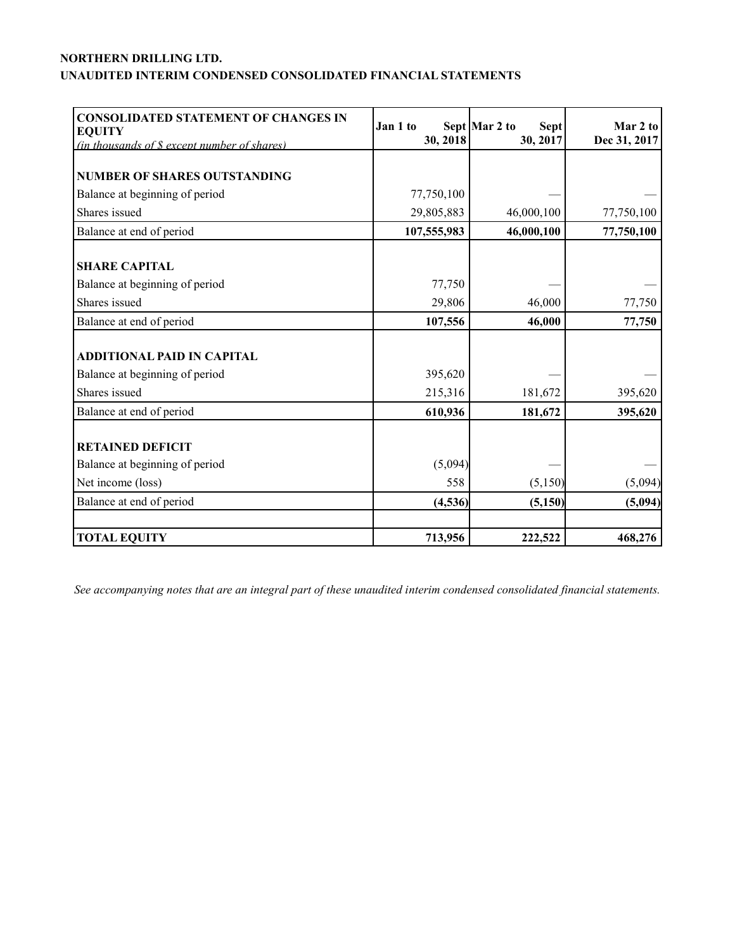## **NORTHERN DRILLING LTD. UNAUDITED INTERIM CONDENSED CONSOLIDATED FINANCIAL STATEMENTS**

| <b>CONSOLIDATED STATEMENT OF CHANGES IN</b><br><b>EQUITY</b><br>(in thousands of <i>S</i> except number of shares) | Jan 1 to<br>30, 2018 | Sept Mar 2 to<br>Sept<br>30, 2017 | Mar 2 to<br>Dec 31, 2017 |
|--------------------------------------------------------------------------------------------------------------------|----------------------|-----------------------------------|--------------------------|
|                                                                                                                    |                      |                                   |                          |
| <b>NUMBER OF SHARES OUTSTANDING</b>                                                                                |                      |                                   |                          |
| Balance at beginning of period                                                                                     | 77,750,100           |                                   |                          |
| Shares issued                                                                                                      | 29,805,883           | 46,000,100                        | 77,750,100               |
| Balance at end of period                                                                                           | 107,555,983          | 46,000,100                        | 77,750,100               |
| <b>SHARE CAPITAL</b>                                                                                               |                      |                                   |                          |
| Balance at beginning of period                                                                                     | 77,750               |                                   |                          |
| Shares issued                                                                                                      | 29,806               | 46,000                            | 77,750                   |
| Balance at end of period                                                                                           | 107,556              | 46,000                            | 77,750                   |
|                                                                                                                    |                      |                                   |                          |
| <b>ADDITIONAL PAID IN CAPITAL</b>                                                                                  |                      |                                   |                          |
| Balance at beginning of period                                                                                     | 395,620              |                                   |                          |
| Shares issued                                                                                                      | 215,316              | 181,672                           | 395,620                  |
| Balance at end of period                                                                                           | 610,936              | 181,672                           | 395,620                  |
| <b>RETAINED DEFICIT</b>                                                                                            |                      |                                   |                          |
| Balance at beginning of period                                                                                     | (5,094)              |                                   |                          |
| Net income (loss)                                                                                                  | 558                  | (5, 150)                          | (5,094)                  |
| Balance at end of period                                                                                           | (4,536)              | (5, 150)                          | (5,094)                  |
|                                                                                                                    |                      |                                   |                          |
| <b>TOTAL EQUITY</b>                                                                                                | 713,956              | 222,522                           | 468,276                  |

*See accompanying notes that are an integral part of these unaudited interim condensed consolidated financial statements.*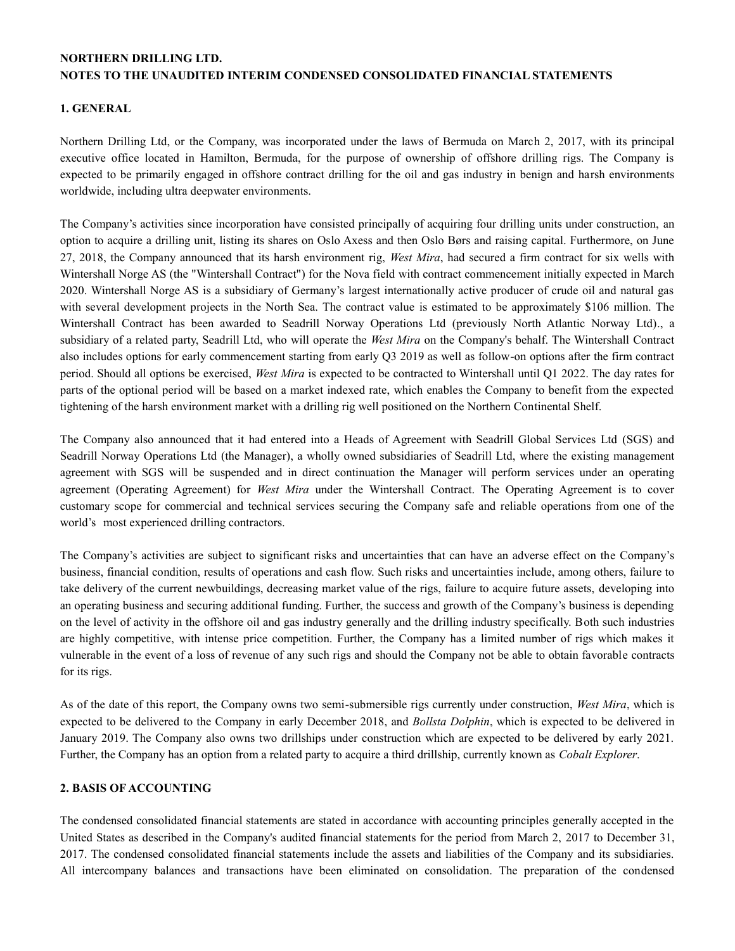### **NORTHERN DRILLING LTD. NOTES TO THE UNAUDITED INTERIM CONDENSED CONSOLIDATED FINANCIAL STATEMENTS**

#### **1. GENERAL**

Northern Drilling Ltd, or the Company, was incorporated under the laws of Bermuda on March 2, 2017, with its principal executive office located in Hamilton, Bermuda, for the purpose of ownership of offshore drilling rigs. The Company is expected to be primarily engaged in offshore contract drilling for the oil and gas industry in benign and harsh environments worldwide, including ultra deepwater environments.

The Company's activities since incorporation have consisted principally of acquiring four drilling units under construction, an option to acquire a drilling unit, listing its shares on Oslo Axess and then Oslo Børs and raising capital. Furthermore, on June 27, 2018, the Company announced that its harsh environment rig, *West Mira*, had secured a firm contract for six wells with Wintershall Norge AS (the "Wintershall Contract") for the Nova field with contract commencement initially expected in March 2020. Wintershall Norge AS is a subsidiary of Germany's largest internationally active producer of crude oil and natural gas with several development projects in the North Sea. The contract value is estimated to be approximately \$106 million. The Wintershall Contract has been awarded to Seadrill Norway Operations Ltd (previously North Atlantic Norway Ltd)., a subsidiary of a related party, Seadrill Ltd, who will operate the *West Mira* on the Company's behalf. The Wintershall Contract also includes options for early commencement starting from early Q3 2019 as well as follow-on options after the firm contract period. Should all options be exercised, *West Mira* is expected to be contracted to Wintershall until Q1 2022. The day rates for parts of the optional period will be based on a market indexed rate, which enables the Company to benefit from the expected tightening of the harsh environment market with a drilling rig well positioned on the Northern Continental Shelf.

The Company also announced that it had entered into a Heads of Agreement with Seadrill Global Services Ltd (SGS) and Seadrill Norway Operations Ltd (the Manager), a wholly owned subsidiaries of Seadrill Ltd, where the existing management agreement with SGS will be suspended and in direct continuation the Manager will perform services under an operating agreement (Operating Agreement) for *West Mira* under the Wintershall Contract. The Operating Agreement is to cover customary scope for commercial and technical services securing the Company safe and reliable operations from one of the world's most experienced drilling contractors.

The Company's activities are subject to significant risks and uncertainties that can have an adverse effect on the Company's business, financial condition, results of operations and cash flow. Such risks and uncertainties include, among others, failure to take delivery of the current newbuildings, decreasing market value of the rigs, failure to acquire future assets, developing into an operating business and securing additional funding. Further, the success and growth of the Company's business is depending on the level of activity in the offshore oil and gas industry generally and the drilling industry specifically. Both such industries are highly competitive, with intense price competition. Further, the Company has a limited number of rigs which makes it vulnerable in the event of a loss of revenue of any such rigs and should the Company not be able to obtain favorable contracts for its rigs.

As of the date of this report, the Company owns two semi-submersible rigs currently under construction, *West Mira*, which is expected to be delivered to the Company in early December 2018, and *Bollsta Dolphin*, which is expected to be delivered in January 2019. The Company also owns two drillships under construction which are expected to be delivered by early 2021. Further, the Company has an option from a related party to acquire a third drillship, currently known as *Cobalt Explorer*.

#### **2. BASIS OF ACCOUNTING**

The condensed consolidated financial statements are stated in accordance with accounting principles generally accepted in the United States as described in the Company's audited financial statements for the period from March 2, 2017 to December 31, 2017. The condensed consolidated financial statements include the assets and liabilities of the Company and its subsidiaries. All intercompany balances and transactions have been eliminated on consolidation. The preparation of the condensed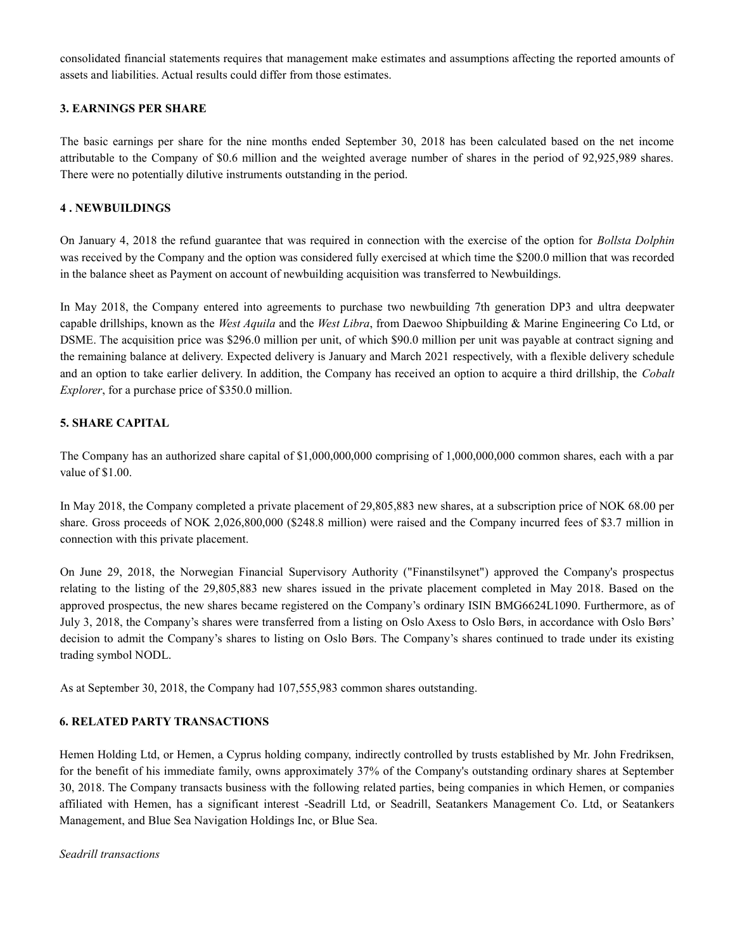consolidated financial statements requires that management make estimates and assumptions affecting the reported amounts of assets and liabilities. Actual results could differ from those estimates.

#### **3. EARNINGS PER SHARE**

The basic earnings per share for the nine months ended September 30, 2018 has been calculated based on the net income attributable to the Company of \$0.6 million and the weighted average number of shares in the period of 92,925,989 shares. There were no potentially dilutive instruments outstanding in the period.

#### **4 . NEWBUILDINGS**

On January 4, 2018 the refund guarantee that was required in connection with the exercise of the option for *Bollsta Dolphin* was received by the Company and the option was considered fully exercised at which time the \$200.0 million that was recorded in the balance sheet as Payment on account of newbuilding acquisition was transferred to Newbuildings.

In May 2018, the Company entered into agreements to purchase two newbuilding 7th generation DP3 and ultra deepwater capable drillships, known as the *West Aquila* and the *West Libra*, from Daewoo Shipbuilding & Marine Engineering Co Ltd, or DSME. The acquisition price was \$296.0 million per unit, of which \$90.0 million per unit was payable at contract signing and the remaining balance at delivery. Expected delivery is January and March 2021 respectively, with a flexible delivery schedule and an option to take earlier delivery. In addition, the Company has received an option to acquire a third drillship, the *Cobalt Explorer*, for a purchase price of \$350.0 million.

#### **5. SHARE CAPITAL**

The Company has an authorized share capital of \$1,000,000,000 comprising of 1,000,000,000 common shares, each with a par value of \$1.00.

In May 2018, the Company completed a private placement of 29,805,883 new shares, at a subscription price of NOK 68.00 per share. Gross proceeds of NOK 2,026,800,000 (\$248.8 million) were raised and the Company incurred fees of \$3.7 million in connection with this private placement.

On June 29, 2018, the Norwegian Financial Supervisory Authority ("Finanstilsynet") approved the Company's prospectus relating to the listing of the 29,805,883 new shares issued in the private placement completed in May 2018. Based on the approved prospectus, the new shares became registered on the Company's ordinary ISIN BMG6624L1090. Furthermore, as of July 3, 2018, the Company's shares were transferred from a listing on Oslo Axess to Oslo Børs, in accordance with Oslo Børs' decision to admit the Company's shares to listing on Oslo Børs. The Company's shares continued to trade under its existing trading symbol NODL.

As at September 30, 2018, the Company had 107,555,983 common shares outstanding.

#### **6. RELATED PARTY TRANSACTIONS**

Hemen Holding Ltd, or Hemen, a Cyprus holding company, indirectly controlled by trusts established by Mr. John Fredriksen, for the benefit of his immediate family, owns approximately 37% of the Company's outstanding ordinary shares at September 30, 2018. The Company transacts business with the following related parties, being companies in which Hemen, or companies affiliated with Hemen, has a significant interest -Seadrill Ltd, or Seadrill, Seatankers Management Co. Ltd, or Seatankers Management, and Blue Sea Navigation Holdings Inc, or Blue Sea.

#### *Seadrill transactions*